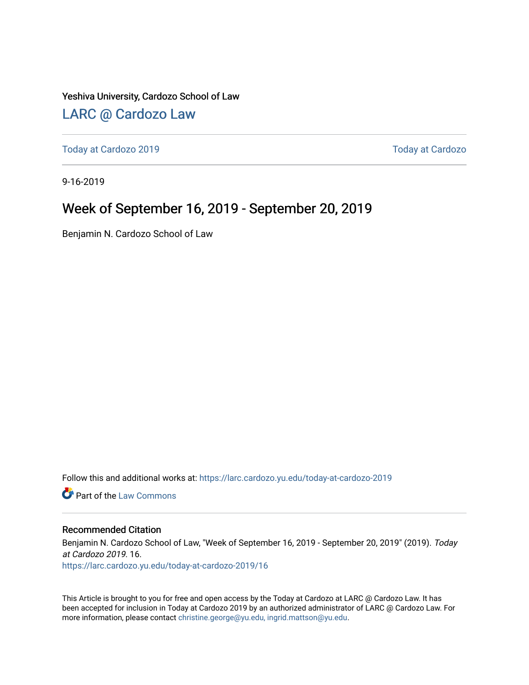Yeshiva University, Cardozo School of Law

### [LARC @ Cardozo Law](https://larc.cardozo.yu.edu/)

[Today at Cardozo 2019](https://larc.cardozo.yu.edu/today-at-cardozo-2019) [Today at Cardozo](https://larc.cardozo.yu.edu/today-at-cardozo) 

9-16-2019

### Week of September 16, 2019 - September 20, 2019

Benjamin N. Cardozo School of Law

Follow this and additional works at: [https://larc.cardozo.yu.edu/today-at-cardozo-2019](https://larc.cardozo.yu.edu/today-at-cardozo-2019?utm_source=larc.cardozo.yu.edu%2Ftoday-at-cardozo-2019%2F16&utm_medium=PDF&utm_campaign=PDFCoverPages)

**C** Part of the [Law Commons](http://network.bepress.com/hgg/discipline/578?utm_source=larc.cardozo.yu.edu%2Ftoday-at-cardozo-2019%2F16&utm_medium=PDF&utm_campaign=PDFCoverPages)

#### Recommended Citation

Benjamin N. Cardozo School of Law, "Week of September 16, 2019 - September 20, 2019" (2019). Today at Cardozo 2019. 16.

[https://larc.cardozo.yu.edu/today-at-cardozo-2019/16](https://larc.cardozo.yu.edu/today-at-cardozo-2019/16?utm_source=larc.cardozo.yu.edu%2Ftoday-at-cardozo-2019%2F16&utm_medium=PDF&utm_campaign=PDFCoverPages) 

This Article is brought to you for free and open access by the Today at Cardozo at LARC @ Cardozo Law. It has been accepted for inclusion in Today at Cardozo 2019 by an authorized administrator of LARC @ Cardozo Law. For more information, please contact [christine.george@yu.edu, ingrid.mattson@yu.edu](mailto:christine.george@yu.edu,%20ingrid.mattson@yu.edu).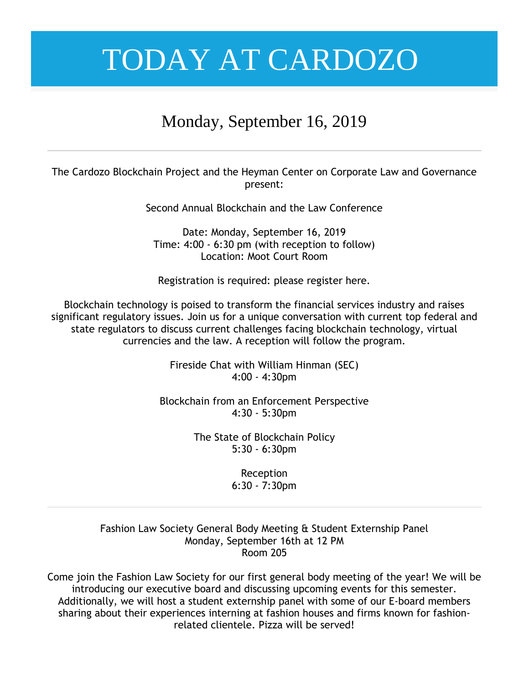## Monday, September 16, 2019

The Cardozo Blockchain Project and the Heyman Center on Corporate Law and Governance present:

Second Annual Blockchain and the Law Conference

Date: Monday, September 16, 2019 Time: 4:00 - 6:30 pm (with reception to follow) Location: Moot Court Room

Registration is required: please register here.

Blockchain technology is poised to transform the financial services industry and raises significant regulatory issues. Join us for a unique conversation with current top federal and state regulators to discuss current challenges facing blockchain technology, virtual currencies and the law. A reception will follow the program.

> Fireside Chat with William Hinman (SEC) 4:00 - 4:30pm

Blockchain from an Enforcement Perspective 4:30 - 5:30pm

> The State of Blockchain Policy 5:30 - 6:30pm

> > Reception 6:30 - 7:30pm

Fashion Law Society General Body Meeting & Student Externship Panel Monday, September 16th at 12 PM Room 205

Come join the Fashion Law Society for our first general body meeting of the year! We will be introducing our executive board and discussing upcoming events for this semester. Additionally, we will host a student externship panel with some of our E-board members sharing about their experiences interning at fashion houses and firms known for fashionrelated clientele. Pizza will be served!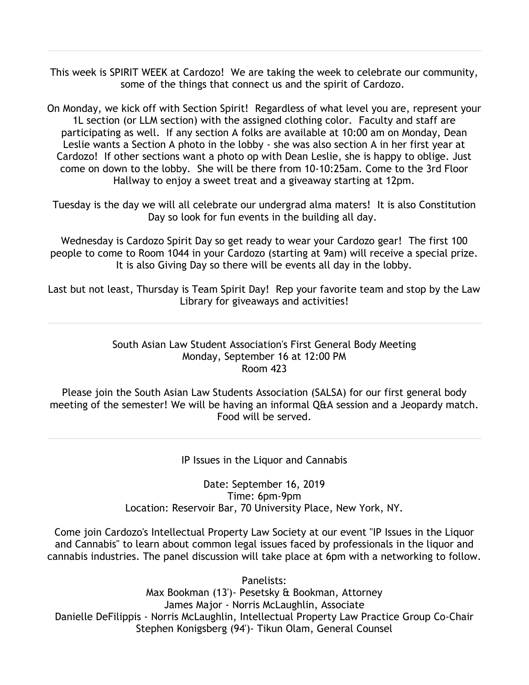This week is SPIRIT WEEK at Cardozo! We are taking the week to celebrate our community, some of the things that connect us and the spirit of Cardozo.

On Monday, we kick off with Section Spirit! Regardless of what level you are, represent your 1L section (or LLM section) with the assigned clothing color. Faculty and staff are participating as well. If any section A folks are available at 10:00 am on Monday, Dean Leslie wants a Section A photo in the lobby - she was also section A in her first year at Cardozo! If other sections want a photo op with Dean Leslie, she is happy to oblige. Just come on down to the lobby. She will be there from 10-10:25am. Come to the 3rd Floor Hallway to enjoy a sweet treat and a giveaway starting at 12pm.

Tuesday is the day we will all celebrate our undergrad alma maters! It is also Constitution Day so look for fun events in the building all day.

Wednesday is Cardozo Spirit Day so get ready to wear your Cardozo gear! The first 100 people to come to Room 1044 in your Cardozo (starting at 9am) will receive a special prize. It is also Giving Day so there will be events all day in the lobby.

Last but not least, Thursday is Team Spirit Day! Rep your favorite team and stop by the Law Library for giveaways and activities!

#### South Asian Law Student Association's First General Body Meeting Monday, September 16 at 12:00 PM Room 423

Please join the South Asian Law Students Association (SALSA) for our first general body meeting of the semester! We will be having an informal Q&A session and a Jeopardy match. Food will be served.

IP Issues in the Liquor and Cannabis

Date: September 16, 2019 Time: 6pm-9pm Location: Reservoir Bar, 70 University Place, New York, NY.

Come join Cardozo's Intellectual Property Law Society at our event "IP Issues in the Liquor and Cannabis" to learn about common legal issues faced by professionals in the liquor and cannabis industries. The panel discussion will take place at 6pm with a networking to follow.

Panelists: Max Bookman (13')- Pesetsky & Bookman, Attorney James Major - Norris McLaughlin, Associate Danielle DeFilippis - Norris McLaughlin, Intellectual Property Law Practice Group Co-Chair Stephen Konigsberg (94')- Tikun Olam, General Counsel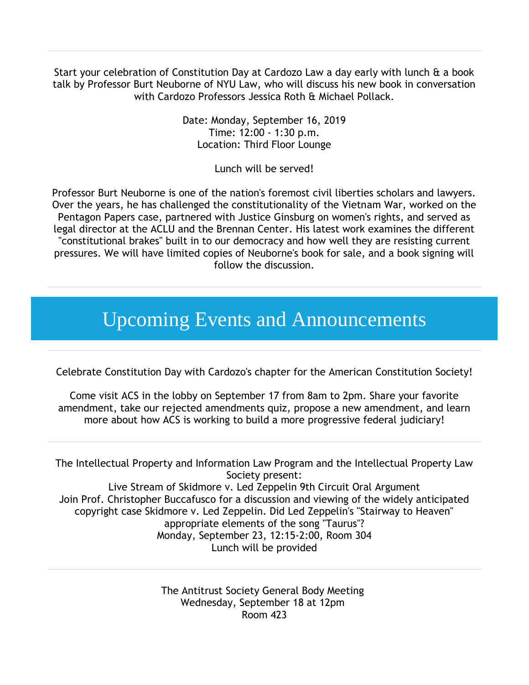Start your celebration of Constitution Day at Cardozo Law a day early with lunch & a book talk by Professor Burt Neuborne of NYU Law, who will discuss his new book in conversation with Cardozo Professors Jessica Roth & Michael Pollack.

> Date: Monday, September 16, 2019 Time: 12:00 - 1:30 p.m. Location: Third Floor Lounge

> > Lunch will be served!

Professor Burt Neuborne is one of the nation's foremost civil liberties scholars and lawyers. Over the years, he has challenged the constitutionality of the Vietnam War, worked on the Pentagon Papers case, partnered with Justice Ginsburg on women's rights, and served as legal director at the ACLU and the Brennan Center. His latest work examines the different "constitutional brakes" built in to our democracy and how well they are resisting current pressures. We will have limited copies of Neuborne's book for sale, and a book signing will follow the discussion.

## Upcoming Events and Announcements

Celebrate Constitution Day with Cardozo's chapter for the American Constitution Society!

Come visit ACS in the lobby on September 17 from 8am to 2pm. Share your favorite amendment, take our rejected amendments quiz, propose a new amendment, and learn more about how ACS is working to build a more progressive federal judiciary!

The Intellectual Property and Information Law Program and the Intellectual Property Law Society present:

Live Stream of Skidmore v. Led Zeppelin 9th Circuit Oral Argument Join Prof. Christopher Buccafusco for a discussion and viewing of the widely anticipated copyright case Skidmore v. Led Zeppelin. Did Led Zeppelin's "Stairway to Heaven" appropriate elements of the song "Taurus"? Monday, September 23, 12:15-2:00, Room 304 Lunch will be provided

> The Antitrust Society General Body Meeting Wednesday, September 18 at 12pm Room 423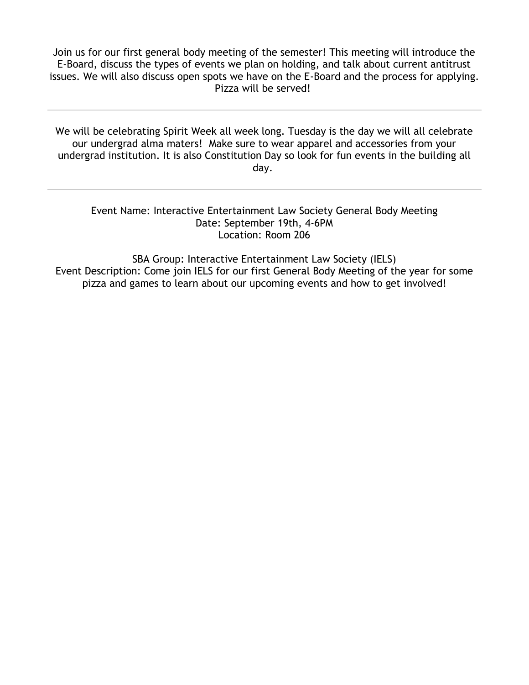Join us for our first general body meeting of the semester! This meeting will introduce the E-Board, discuss the types of events we plan on holding, and talk about current antitrust issues. We will also discuss open spots we have on the E-Board and the process for applying. Pizza will be served!

We will be celebrating Spirit Week all week long. Tuesday is the day we will all celebrate our undergrad alma maters! Make sure to wear apparel and accessories from your undergrad institution. It is also Constitution Day so look for fun events in the building all day.

Event Name: Interactive Entertainment Law Society General Body Meeting Date: September 19th, 4-6PM Location: Room 206

SBA Group: Interactive Entertainment Law Society (IELS) Event Description: Come join IELS for our first General Body Meeting of the year for some pizza and games to learn about our upcoming events and how to get involved!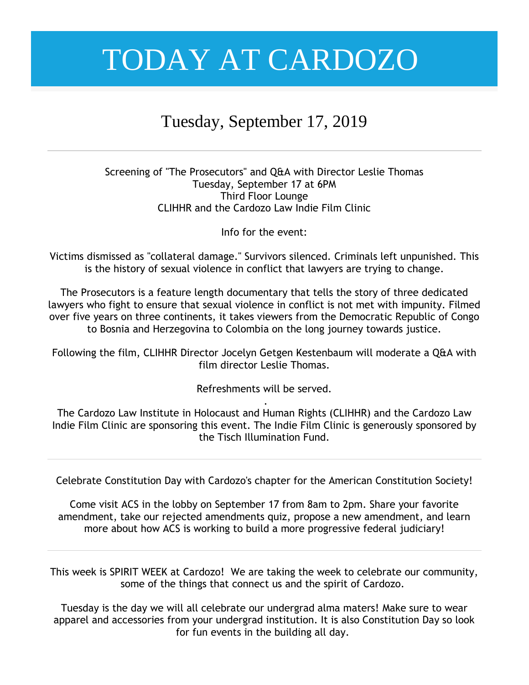### Tuesday, September 17, 2019

#### Screening of "The Prosecutors" and Q&A with Director Leslie Thomas Tuesday, September 17 at 6PM Third Floor Lounge CLIHHR and the Cardozo Law Indie Film Clinic

Info for the event:

Victims dismissed as "collateral damage." Survivors silenced. Criminals left unpunished. This is the history of sexual violence in conflict that lawyers are trying to change.

The Prosecutors is a feature length documentary that tells the story of three dedicated lawyers who fight to ensure that sexual violence in conflict is not met with impunity. Filmed over five years on three continents, it takes viewers from the Democratic Republic of Congo to Bosnia and Herzegovina to Colombia on the long journey towards justice.

Following the film, CLIHHR Director Jocelyn Getgen Kestenbaum will moderate a Q&A with film director Leslie Thomas.

Refreshments will be served.

. The Cardozo Law Institute in Holocaust and Human Rights (CLIHHR) and the Cardozo Law Indie Film Clinic are sponsoring this event. The Indie Film Clinic is generously sponsored by the Tisch Illumination Fund.

Celebrate Constitution Day with Cardozo's chapter for the American Constitution Society!

Come visit ACS in the lobby on September 17 from 8am to 2pm. Share your favorite amendment, take our rejected amendments quiz, propose a new amendment, and learn more about how ACS is working to build a more progressive federal judiciary!

This week is SPIRIT WEEK at Cardozo! We are taking the week to celebrate our community, some of the things that connect us and the spirit of Cardozo.

Tuesday is the day we will all celebrate our undergrad alma maters! Make sure to wear apparel and accessories from your undergrad institution. It is also Constitution Day so look for fun events in the building all day.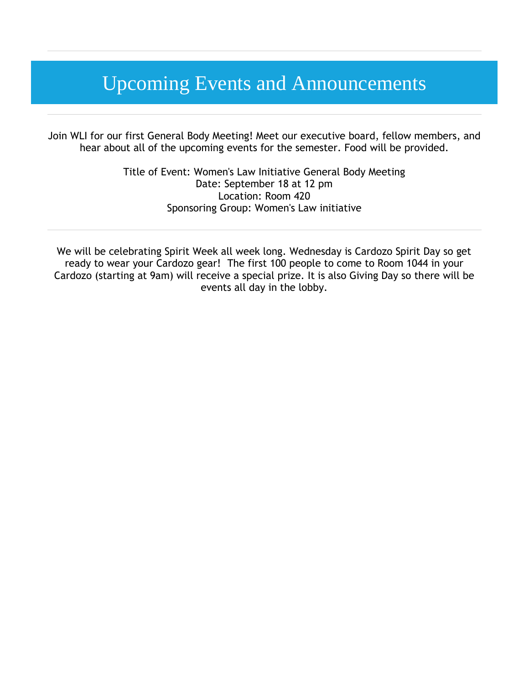## Upcoming Events and Announcements

Join WLI for our first General Body Meeting! Meet our executive board, fellow members, and hear about all of the upcoming events for the semester. Food will be provided.

> Title of Event: Women's Law Initiative General Body Meeting Date: September 18 at 12 pm Location: Room 420 Sponsoring Group: Women's Law initiative

We will be celebrating Spirit Week all week long. Wednesday is Cardozo Spirit Day so get ready to wear your Cardozo gear! The first 100 people to come to Room 1044 in your Cardozo (starting at 9am) will receive a special prize. It is also Giving Day so there will be events all day in the lobby.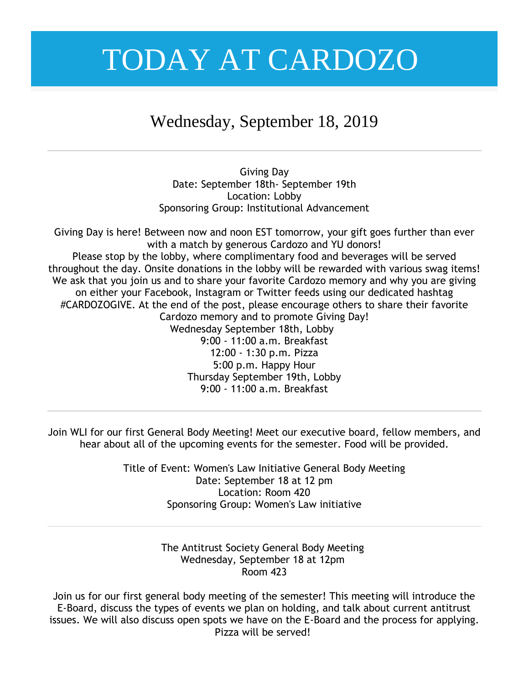### Wednesday, September 18, 2019

Giving Day Date: September 18th- September 19th Location: Lobby Sponsoring Group: Institutional Advancement

Giving Day is here! Between now and noon EST tomorrow, your gift goes further than ever with a match by generous Cardozo and YU donors! Please stop by the lobby, where complimentary food and beverages will be served throughout the day. Onsite donations in the lobby will be rewarded with various swag items! We ask that you join us and to share your favorite Cardozo memory and why you are giving on either your Facebook, Instagram or Twitter feeds using our dedicated hashtag #CARDOZOGIVE. At the end of the post, please encourage others to share their favorite Cardozo memory and to promote Giving Day! Wednesday September 18th, Lobby 9:00 - 11:00 a.m. Breakfast 12:00 - 1:30 p.m. Pizza 5:00 p.m. Happy Hour Thursday September 19th, Lobby 9:00 - 11:00 a.m. Breakfast

Join WLI for our first General Body Meeting! Meet our executive board, fellow members, and hear about all of the upcoming events for the semester. Food will be provided.

> Title of Event: Women's Law Initiative General Body Meeting Date: September 18 at 12 pm Location: Room 420 Sponsoring Group: Women's Law initiative

> > The Antitrust Society General Body Meeting Wednesday, September 18 at 12pm Room 423

Join us for our first general body meeting of the semester! This meeting will introduce the E-Board, discuss the types of events we plan on holding, and talk about current antitrust issues. We will also discuss open spots we have on the E-Board and the process for applying. Pizza will be served!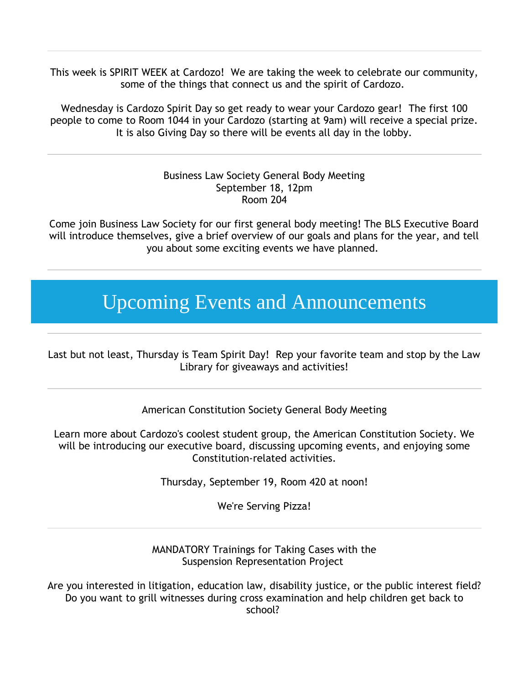This week is SPIRIT WEEK at Cardozo! We are taking the week to celebrate our community, some of the things that connect us and the spirit of Cardozo.

Wednesday is Cardozo Spirit Day so get ready to wear your Cardozo gear! The first 100 people to come to Room 1044 in your Cardozo (starting at 9am) will receive a special prize. It is also Giving Day so there will be events all day in the lobby.

#### Business Law Society General Body Meeting September 18, 12pm Room 204

Come join Business Law Society for our first general body meeting! The BLS Executive Board will introduce themselves, give a brief overview of our goals and plans for the year, and tell you about some exciting events we have planned.

## Upcoming Events and Announcements

Last but not least, Thursday is Team Spirit Day! Rep your favorite team and stop by the Law Library for giveaways and activities!

American Constitution Society General Body Meeting

Learn more about Cardozo's coolest student group, the American Constitution Society. We will be introducing our executive board, discussing upcoming events, and enjoying some Constitution-related activities.

Thursday, September 19, Room 420 at noon!

We're Serving Pizza!

MANDATORY Trainings for Taking Cases with the Suspension Representation Project

Are you interested in litigation, education law, disability justice, or the public interest field? Do you want to grill witnesses during cross examination and help children get back to school?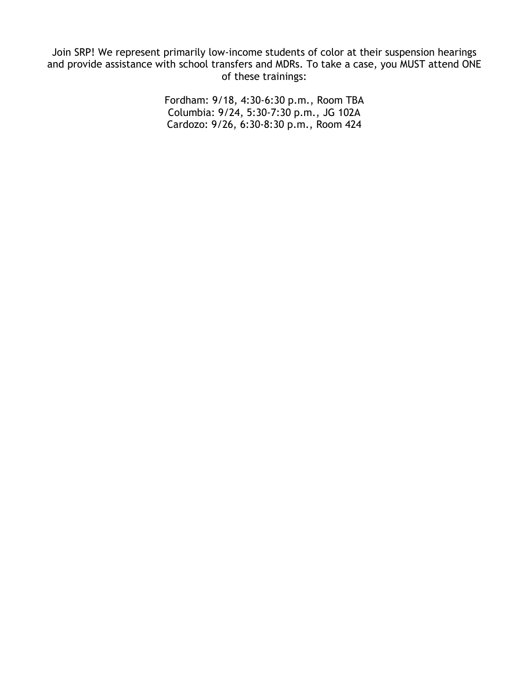Join SRP! We represent primarily low-income students of color at their suspension hearings and provide assistance with school transfers and MDRs. To take a case, you MUST attend ONE of these trainings:

> Fordham: 9/18, 4:30-6:30 p.m., Room TBA Columbia: 9/24, 5:30-7:30 p.m., JG 102A Cardozo: 9/26, 6:30-8:30 p.m., Room 424